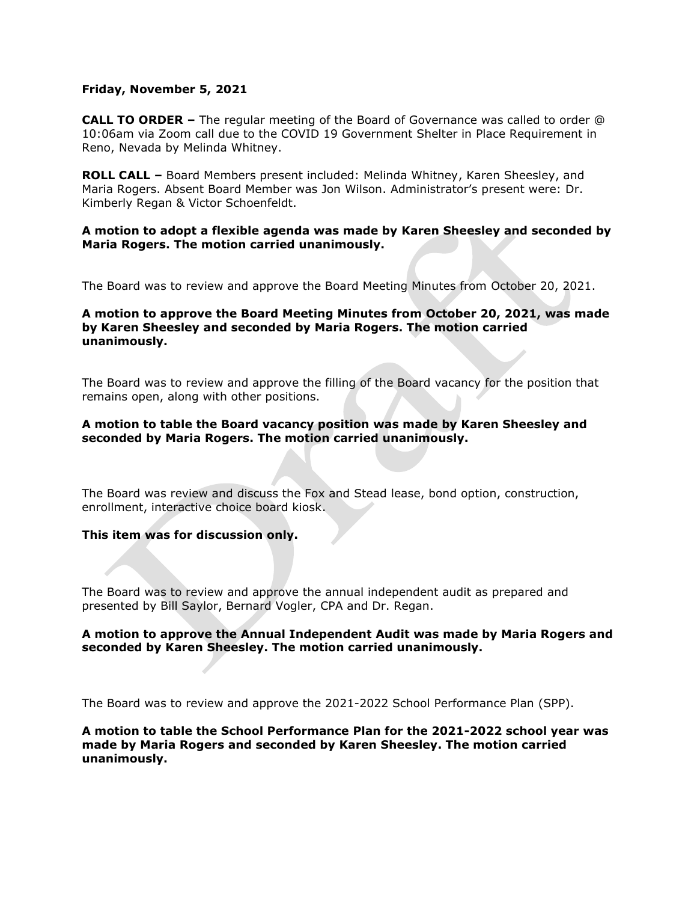## **Friday, November 5, 2021**

**CALL TO ORDER –** The regular meeting of the Board of Governance was called to order @ 10:06am via Zoom call due to the COVID 19 Government Shelter in Place Requirement in Reno, Nevada by Melinda Whitney.

**ROLL CALL –** Board Members present included: Melinda Whitney, Karen Sheesley, and Maria Rogers. Absent Board Member was Jon Wilson. Administrator's present were: Dr. Kimberly Regan & Victor Schoenfeldt.

## **A motion to adopt a flexible agenda was made by Karen Sheesley and seconded by Maria Rogers. The motion carried unanimously.**

The Board was to review and approve the Board Meeting Minutes from October 20, 2021.

## **A motion to approve the Board Meeting Minutes from October 20, 2021, was made by Karen Sheesley and seconded by Maria Rogers. The motion carried unanimously.**

The Board was to review and approve the filling of the Board vacancy for the position that remains open, along with other positions.

## **A motion to table the Board vacancy position was made by Karen Sheesley and seconded by Maria Rogers. The motion carried unanimously.**

The Board was review and discuss the Fox and Stead lease, bond option, construction, enrollment, interactive choice board kiosk.

# **This item was for discussion only.**

The Board was to review and approve the annual independent audit as prepared and presented by Bill Saylor, Bernard Vogler, CPA and Dr. Regan.

## **A motion to approve the Annual Independent Audit was made by Maria Rogers and seconded by Karen Sheesley. The motion carried unanimously.**

The Board was to review and approve the 2021-2022 School Performance Plan (SPP).

**A motion to table the School Performance Plan for the 2021-2022 school year was made by Maria Rogers and seconded by Karen Sheesley. The motion carried unanimously.**